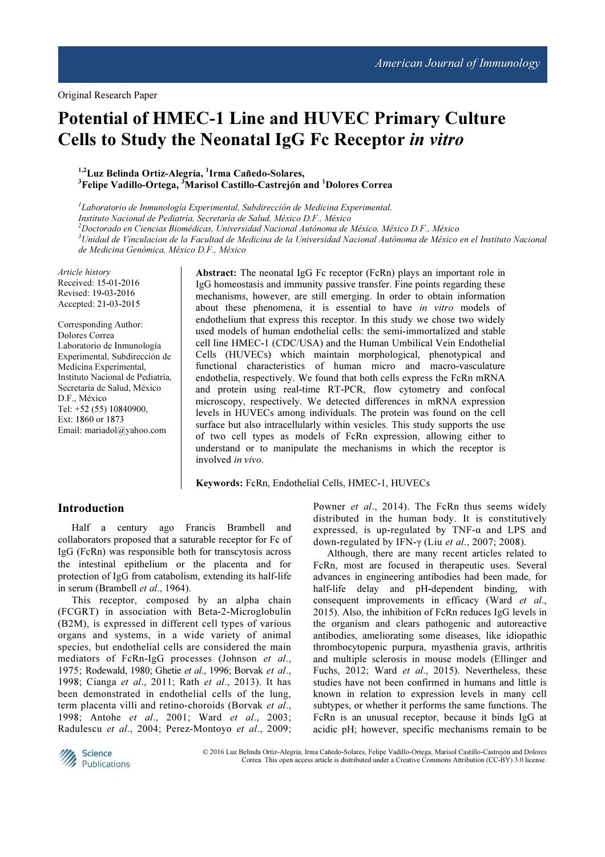# Potential of HMEC-1 Line and HUVEC Primary Culture Cells to Study the Neonatal IgG Fc Receptor in vitro

# <sup>1,2</sup>Luz Belinda Ortiz-Alegría, <sup>1</sup>Irma Cañedo-Solares,  $3$ Felipe Vadillo-Ortega,  $3$ Marisol Castillo-Castrejón and  $1$ Dolores Correa

 ${}^{1}$ Laboratorio de Inmunología Experimental, Subdirección de Medicina Experimental, Instituto Nacional de Pediatría, Secretaría de Salud, México D.F., México  $^2$ Doctorado en Ciencias Biomédicas, Universidad Nacional Autónoma de México, México D.F., México <sup>3</sup>Unidad de Vinculacion de la Facultad de Medicina de la Universidad Nacional Autónoma de México en el Instituto Nacional de Medicina Genómica, México D.F., México

Article history Received: 15-01-2016 Revised: 19-03-2016 Accepted: 21-03-2015

Corresponding Author: Dolores Correa Laboratorio de Inmunología Experimental, Subdirección de Medicina Experimental, Instituto Nacional de Pediatría, Secretaría de Salud, México D.F., México Tel: +52 (55) 10840900, Ext: 1860 or 1873 Email: mariadol@yahoo.com

Abstract: The neonatal IgG Fc receptor (FcRn) plays an important role in IgG homeostasis and immunity passive transfer. Fine points regarding these mechanisms, however, are still emerging. In order to obtain information about these phenomena, it is essential to have in vitro models of endothelium that express this receptor. In this study we chose two widely used models of human endothelial cells: the semi-immortalized and stable cell line HMEC-1 (CDC/USA) and the Human Umbilical Vein Endothelial Cells (HUVECs) which maintain morphological, phenotypical and functional characteristics of human micro and macro-vasculature endothelia, respectively. We found that both cells express the FcRn mRNA and protein using real-time RT-PCR, flow cytometry and confocal microscopy, respectively. We detected differences in mRNA expression levels in HUVECs among individuals. The protein was found on the cell surface but also intracellularly within vesicles. This study supports the use of two cell types as models of FcRn expression, allowing either to understand or to manipulate the mechanisms in which the receptor is involved in vivo.

Keywords: FcRn, Endothelial Cells, HMEC-1, HUVECs

# Introduction

Half a century ago Francis Brambell and collaborators proposed that a saturable receptor for Fc of IgG (FcRn) was responsible both for transcytosis across the intestinal epithelium or the placenta and for protection of IgG from catabolism, extending its half-life in serum (Brambell et al., 1964).

This receptor, composed by an alpha chain (FCGRT) in association with Beta-2-Microglobulin (B2M), is expressed in different cell types of various organs and systems, in a wide variety of animal species, but endothelial cells are considered the main mediators of FcRn-IgG processes (Johnson et al., 1975; Rodewald, 1980; Ghetie et al., 1996; Borvak et al., 1998; Cianga et al., 2011; Rath et al., 2013). It has been demonstrated in endothelial cells of the lung, term placenta villi and retino-choroids (Borvak et al., 1998; Antohe et al., 2001; Ward et al., 2003; Radulescu et al., 2004; Perez-Montoyo et al., 2009;

Powner et al., 2014). The FcRn thus seems widely distributed in the human body. It is constitutively expressed, is up-regulated by TNF-α and LPS and down-regulated by IFN-γ (Liu et al., 2007; 2008).

Although, there are many recent articles related to FcRn, most are focused in therapeutic uses. Several advances in engineering antibodies had been made, for half-life delay and pH-dependent binding, with consequent improvements in efficacy (Ward et al., 2015). Also, the inhibition of FcRn reduces IgG levels in the organism and clears pathogenic and autoreactive antibodies, ameliorating some diseases, like idiopathic thrombocytopenic purpura, myasthenia gravis, arthritis and multiple sclerosis in mouse models (Ellinger and Fuchs, 2012; Ward et al., 2015). Nevertheless, these studies have not been confirmed in humans and little is known in relation to expression levels in many cell subtypes, or whether it performs the same functions. The FcRn is an unusual receptor, because it binds IgG at acidic pH; however, specific mechanisms remain to be



© 2016 Luz Belinda Ortiz-Alegría, Irma Cañedo-Solares, Felipe Vadillo-Ortega, Marisol Castillo-Castrejón and Dolores Correa. This open access article is distributed under a Creative Commons Attribution (CC-BY) 3.0 license.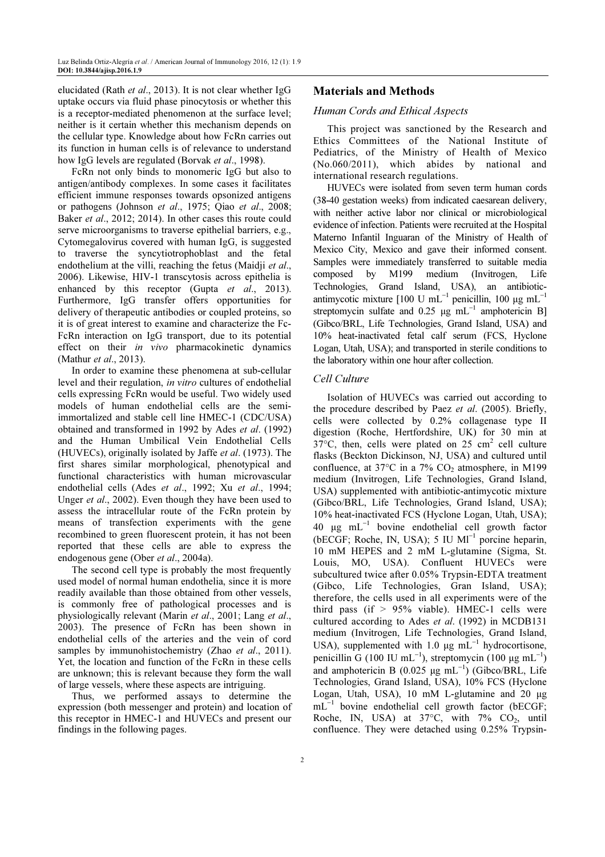elucidated (Rath et al., 2013). It is not clear whether IgG uptake occurs via fluid phase pinocytosis or whether this is a receptor-mediated phenomenon at the surface level; neither is it certain whether this mechanism depends on the cellular type. Knowledge about how FcRn carries out its function in human cells is of relevance to understand how IgG levels are regulated (Borvak et al., 1998).

FcRn not only binds to monomeric IgG but also to antigen/antibody complexes. In some cases it facilitates efficient immune responses towards opsonized antigens or pathogens (Johnson et al., 1975; Qiao et al., 2008; Baker *et al.*, 2012; 2014). In other cases this route could serve microorganisms to traverse epithelial barriers, e.g., Cytomegalovirus covered with human IgG, is suggested to traverse the syncytiotrophoblast and the fetal endothelium at the villi, reaching the fetus (Maidji et al., 2006). Likewise, HIV-1 transcytosis across epithelia is enhanced by this receptor (Gupta et al., 2013). Furthermore, IgG transfer offers opportunities for delivery of therapeutic antibodies or coupled proteins, so it is of great interest to examine and characterize the Fc-FcRn interaction on IgG transport, due to its potential effect on their in vivo pharmacokinetic dynamics (Mathur *et al.*, 2013).

In order to examine these phenomena at sub-cellular level and their regulation, in vitro cultures of endothelial cells expressing FcRn would be useful. Two widely used models of human endothelial cells are the semiimmortalized and stable cell line HMEC-1 (CDC/USA) obtained and transformed in 1992 by Ades et al. (1992) and the Human Umbilical Vein Endothelial Cells (HUVECs), originally isolated by Jaffe et al. (1973). The first shares similar morphological, phenotypical and functional characteristics with human microvascular endothelial cells (Ades et al., 1992; Xu et al., 1994; Unger et al., 2002). Even though they have been used to assess the intracellular route of the FcRn protein by means of transfection experiments with the gene recombined to green fluorescent protein, it has not been reported that these cells are able to express the endogenous gene (Ober et al., 2004a).

The second cell type is probably the most frequently used model of normal human endothelia, since it is more readily available than those obtained from other vessels, is commonly free of pathological processes and is physiologically relevant (Marin et al., 2001; Lang et al., 2003). The presence of FcRn has been shown in endothelial cells of the arteries and the vein of cord samples by immunohistochemistry (Zhao et al., 2011). Yet, the location and function of the FcRn in these cells are unknown; this is relevant because they form the wall of large vessels, where these aspects are intriguing.

Thus, we performed assays to determine the expression (both messenger and protein) and location of this receptor in HMEC-1 and HUVECs and present our findings in the following pages.

# Materials and Methods

## Human Cords and Ethical Aspects

This project was sanctioned by the Research and Ethics Committees of the National Institute of Pediatrics, of the Ministry of Health of Mexico (No.060/2011), which abides by national and international research regulations.

HUVECs were isolated from seven term human cords (38-40 gestation weeks) from indicated caesarean delivery, with neither active labor nor clinical or microbiological evidence of infection. Patients were recruited at the Hospital Materno Infantil Inguaran of the Ministry of Health of Mexico City, Mexico and gave their informed consent. Samples were immediately transferred to suitable media composed by M199 medium (Invitrogen, Life Technologies, Grand Island, USA), an antibioticantimycotic mixture  $[100 \text{ U } \text{mL}^{-1}$  penicillin, 100 µg mL<sup>-1</sup> streptomycin sulfate and  $0.25 \mu g$  mL<sup>-1</sup> amphotericin B] (Gibco/BRL, Life Technologies, Grand Island, USA) and 10% heat-inactivated fetal calf serum (FCS, Hyclone Logan, Utah, USA); and transported in sterile conditions to the laboratory within one hour after collection.

## Cell Culture

Isolation of HUVECs was carried out according to the procedure described by Paez et al. (2005). Briefly, cells were collected by 0.2% collagenase type II digestion (Roche, Hertfordshire, UK) for 30 min at  $37^{\circ}$ C, then, cells were plated on  $25^{6}$  cm<sup>2</sup> cell culture flasks (Beckton Dickinson, NJ, USA) and cultured until confluence, at  $37^{\circ}$ C in a  $7\%$  CO<sub>2</sub> atmosphere, in M199 medium (Invitrogen, Life Technologies, Grand Island, USA) supplemented with antibiotic-antimycotic mixture (Gibco/BRL, Life Technologies, Grand Island, USA); 10% heat-inactivated FCS (Hyclone Logan, Utah, USA); 40 µg mL<sup>−</sup><sup>1</sup> bovine endothelial cell growth factor (bECGF; Roche, IN, USA); 5 IU Ml<sup>−</sup><sup>1</sup> porcine heparin, 10 mM HEPES and 2 mM L-glutamine (Sigma, St. Louis, MO, USA). Confluent HUVECs were subcultured twice after 0.05% Trypsin-EDTA treatment (Gibco, Life Technologies, Gran Island, USA); therefore, the cells used in all experiments were of the third pass (if  $> 95\%$  viable). HMEC-1 cells were cultured according to Ades et al. (1992) in MCDB131 medium (Invitrogen, Life Technologies, Grand Island, USA), supplemented with 1.0 μg mL<sup>-1</sup> hydrocortisone, penicillin G (100 IU mL<sup>-1</sup>), streptomycin (100 µg mL<sup>-1</sup>) and amphotericin B  $(0.025 \text{ µg} \text{ mL}^{-1})$  (Gibco/BRL, Life Technologies, Grand Island, USA), 10% FCS (Hyclone Logan, Utah, USA), 10 mM L-glutamine and 20 µg mL<sup>-1</sup> bovine endothelial cell growth factor (bECGF; Roche, IN, USA) at  $37^{\circ}$ C, with  $7\%$  CO<sub>2</sub>, until confluence. They were detached using 0.25% Trypsin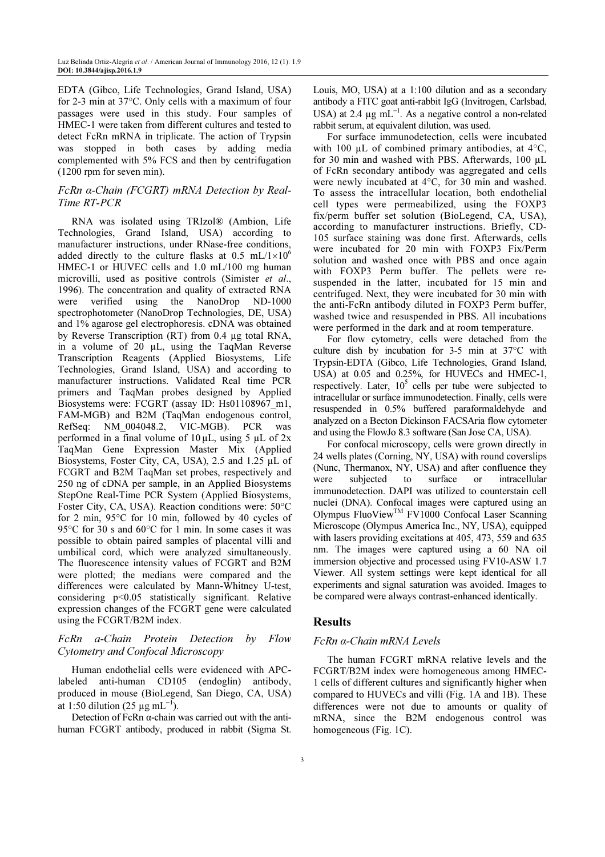EDTA (Gibco, Life Technologies, Grand Island, USA) for 2-3 min at 37°C. Only cells with a maximum of four passages were used in this study. Four samples of HMEC-1 were taken from different cultures and tested to detect FcRn mRNA in triplicate. The action of Trypsin was stopped in both cases by adding media complemented with 5% FCS and then by centrifugation (1200 rpm for seven min).

## FcRn α-Chain (FCGRT) mRNA Detection by Real-Time RT-PCR

RNA was isolated using TRIzol® (Ambion, Life Technologies, Grand Island, USA) according to manufacturer instructions, under RNase-free conditions, added directly to the culture flasks at 0.5 mL/1×10<sup>6</sup> HMEC-1 or HUVEC cells and 1.0 mL/100 mg human microvilli, used as positive controls (Simister et al., 1996). The concentration and quality of extracted RNA were verified using the NanoDrop ND-1000 spectrophotometer (NanoDrop Technologies, DE, USA) and 1% agarose gel electrophoresis. cDNA was obtained by Reverse Transcription (RT) from 0.4 µg total RNA, in a volume of 20 µL, using the TaqMan Reverse Transcription Reagents (Applied Biosystems, Life Technologies, Grand Island, USA) and according to manufacturer instructions. Validated Real time PCR primers and TaqMan probes designed by Applied Biosystems were: FCGRT (assay ID: Hs01108967\_m1, FAM-MGB) and B2M (TaqMan endogenous control, RefSeq: NM\_004048.2, VIC-MGB). PCR was performed in a final volume of  $10 \mu L$ , using 5  $\mu L$  of  $2x$ TaqMan Gene Expression Master Mix (Applied Biosystems, Foster City, CA, USA), 2.5 and 1.25 µL of FCGRT and B2M TaqMan set probes, respectively and 250 ng of cDNA per sample, in an Applied Biosystems StepOne Real-Time PCR System (Applied Biosystems, Foster City, CA, USA). Reaction conditions were: 50°C for 2 min, 95°C for 10 min, followed by 40 cycles of 95°C for 30 s and 60°C for 1 min. In some cases it was possible to obtain paired samples of placental villi and umbilical cord, which were analyzed simultaneously. The fluorescence intensity values of FCGRT and B2M were plotted; the medians were compared and the differences were calculated by Mann-Whitney U-test, considering p<0.05 statistically significant. Relative expression changes of the FCGRT gene were calculated using the FCGRT/B2M index.

# FcRn a-Chain Protein Detection by Flow Cytometry and Confocal Microscopy

Human endothelial cells were evidenced with APClabeled anti-human CD105 (endoglin) antibody, produced in mouse (BioLegend, San Diego, CA, USA) at 1:50 dilution (25  $\mu$ g mL<sup>-1</sup>).

Detection of FcRn α-chain was carried out with the antihuman FCGRT antibody, produced in rabbit (Sigma St. Louis, MO, USA) at a 1:100 dilution and as a secondary antibody a FITC goat anti-rabbit IgG (Invitrogen, Carlsbad, USA) at 2.4 μg mL<sup>-1</sup>. As a negative control a non-related rabbit serum, at equivalent dilution, was used.

For surface immunodetection, cells were incubated with 100  $\mu$ L of combined primary antibodies, at 4 $\degree$ C, for 30 min and washed with PBS. Afterwards, 100 µL of FcRn secondary antibody was aggregated and cells were newly incubated at 4°C, for 30 min and washed. To assess the intracellular location, both endothelial cell types were permeabilized, using the FOXP3 fix/perm buffer set solution (BioLegend, CA, USA), according to manufacturer instructions. Briefly, CD-105 surface staining was done first. Afterwards, cells were incubated for 20 min with FOXP3 Fix/Perm solution and washed once with PBS and once again with FOXP3 Perm buffer. The pellets were resuspended in the latter, incubated for 15 min and centrifuged. Next, they were incubated for 30 min with the anti-FcRn antibody diluted in FOXP3 Perm buffer, washed twice and resuspended in PBS. All incubations were performed in the dark and at room temperature.

For flow cytometry, cells were detached from the culture dish by incubation for 3-5 min at 37°C with Trypsin-EDTA (Gibco, Life Technologies, Grand Island, USA) at 0.05 and 0.25%, for HUVECs and HMEC-1, respectively. Later,  $10^5$  cells per tube were subjected to intracellular or surface immunodetection. Finally, cells were resuspended in 0.5% buffered paraformaldehyde and analyzed on a Becton Dickinson FACSAria flow cytometer and using the FlowJo 8.3 software (San Jose CA, USA).

For confocal microscopy, cells were grown directly in 24 wells plates (Corning, NY, USA) with round coverslips (Nunc, Thermanox, NY, USA) and after confluence they were subjected to surface or intracellular immunodetection. DAPI was utilized to counterstain cell nuclei (DNA). Confocal images were captured using an Olympus FluoViewTM FV1000 Confocal Laser Scanning Microscope (Olympus America Inc., NY, USA), equipped with lasers providing excitations at 405, 473, 559 and 635 nm. The images were captured using a 60 NA oil immersion objective and processed using FV10-ASW 1.7 Viewer. All system settings were kept identical for all experiments and signal saturation was avoided. Images to be compared were always contrast-enhanced identically.

# Results

# FcRn α-Chain mRNA Levels

The human FCGRT mRNA relative levels and the FCGRT/B2M index were homogeneous among HMEC-1 cells of different cultures and significantly higher when compared to HUVECs and villi (Fig. 1A and 1B). These differences were not due to amounts or quality of mRNA, since the B2M endogenous control was homogeneous (Fig. 1C).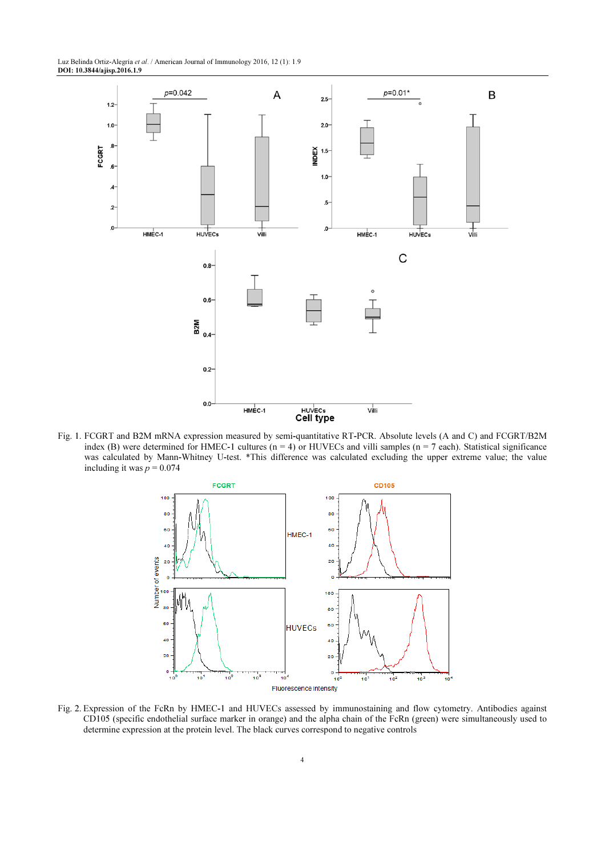Luz Belinda Ortiz-Alegría et al. / American Journal of Immunology 2016, 12 (1): 1.9 DOI: 10.3844/ajisp.2016.1.9



Fig. 1. FCGRT and B2M mRNA expression measured by semi-quantitative RT-PCR. Absolute levels (A and C) and FCGRT/B2M index (B) were determined for HMEC-1 cultures ( $n = 4$ ) or HUVECs and villi samples ( $n = 7$  each). Statistical significance was calculated by Mann-Whitney U-test. \*This difference was calculated excluding the upper extreme value; the value including it was  $p = 0.074$ 



Fig. 2. Expression of the FcRn by HMEC-1 and HUVECs assessed by immunostaining and flow cytometry. Antibodies against CD105 (specific endothelial surface marker in orange) and the alpha chain of the FcRn (green) were simultaneously used to determine expression at the protein level. The black curves correspond to negative controls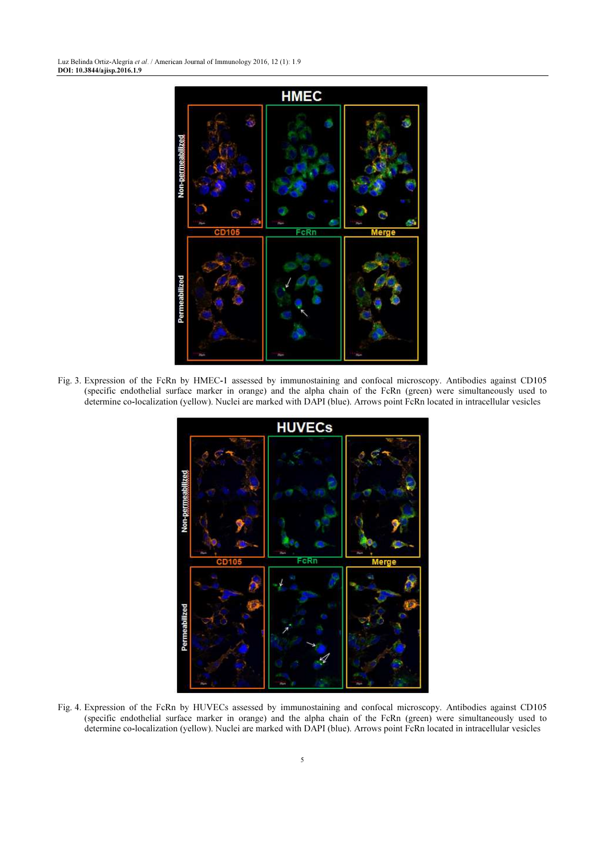Luz Belinda Ortiz-Alegría et al. / American Journal of Immunology 2016, 12 (1): 1.9 DOI: 10.3844/ajisp.2016.1.9



Fig. 3. Expression of the FcRn by HMEC-1 assessed by immunostaining and confocal microscopy. Antibodies against CD105 (specific endothelial surface marker in orange) and the alpha chain of the FcRn (green) were simultaneously used to determine co-localization (yellow). Nuclei are marked with DAPI (blue). Arrows point FcRn located in intracellular vesicles



Fig. 4. Expression of the FcRn by HUVECs assessed by immunostaining and confocal microscopy. Antibodies against CD105 (specific endothelial surface marker in orange) and the alpha chain of the FcRn (green) were simultaneously used to determine co-localization (yellow). Nuclei are marked with DAPI (blue). Arrows point FcRn located in intracellular vesicles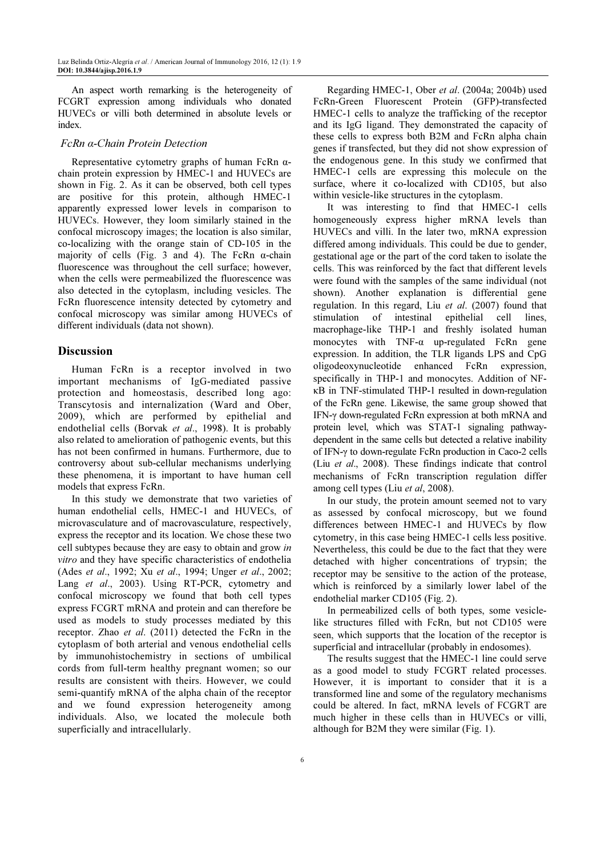An aspect worth remarking is the heterogeneity of FCGRT expression among individuals who donated HUVECs or villi both determined in absolute levels or index.

#### FcRn α-Chain Protein Detection

Representative cytometry graphs of human FcRn αchain protein expression by HMEC-1 and HUVECs are shown in Fig. 2. As it can be observed, both cell types are positive for this protein, although HMEC-1 apparently expressed lower levels in comparison to HUVECs. However, they loom similarly stained in the confocal microscopy images; the location is also similar, co-localizing with the orange stain of CD-105 in the majority of cells (Fig. 3 and 4). The FcRn  $\alpha$ -chain fluorescence was throughout the cell surface; however, when the cells were permeabilized the fluorescence was also detected in the cytoplasm, including vesicles. The FcRn fluorescence intensity detected by cytometry and confocal microscopy was similar among HUVECs of different individuals (data not shown).

#### Discussion

Human FcRn is a receptor involved in two important mechanisms of IgG-mediated passive protection and homeostasis, described long ago: Transcytosis and internalization (Ward and Ober, 2009), which are performed by epithelial and endothelial cells (Borvak et al., 1998). It is probably also related to amelioration of pathogenic events, but this has not been confirmed in humans. Furthermore, due to controversy about sub-cellular mechanisms underlying these phenomena, it is important to have human cell models that express FcRn.

In this study we demonstrate that two varieties of human endothelial cells, HMEC-1 and HUVECs, of microvasculature and of macrovasculature, respectively, express the receptor and its location. We chose these two cell subtypes because they are easy to obtain and grow in vitro and they have specific characteristics of endothelia (Ades et al., 1992; Xu et al., 1994; Unger et al., 2002; Lang et al., 2003). Using RT-PCR, cytometry and confocal microscopy we found that both cell types express FCGRT mRNA and protein and can therefore be used as models to study processes mediated by this receptor. Zhao et al. (2011) detected the FcRn in the cytoplasm of both arterial and venous endothelial cells by immunohistochemistry in sections of umbilical cords from full-term healthy pregnant women; so our results are consistent with theirs. However, we could semi-quantify mRNA of the alpha chain of the receptor and we found expression heterogeneity among individuals. Also, we located the molecule both superficially and intracellularly.

Regarding HMEC-1, Ober et al. (2004a; 2004b) used FcRn-Green Fluorescent Protein (GFP)-transfected HMEC-1 cells to analyze the trafficking of the receptor and its IgG ligand. They demonstrated the capacity of these cells to express both B2M and FcRn alpha chain genes if transfected, but they did not show expression of the endogenous gene. In this study we confirmed that HMEC-1 cells are expressing this molecule on the surface, where it co-localized with CD105, but also within vesicle-like structures in the cytoplasm.

It was interesting to find that HMEC-1 cells homogeneously express higher mRNA levels than HUVECs and villi. In the later two, mRNA expression differed among individuals. This could be due to gender, gestational age or the part of the cord taken to isolate the cells. This was reinforced by the fact that different levels were found with the samples of the same individual (not shown). Another explanation is differential gene regulation. In this regard, Liu et al. (2007) found that stimulation of intestinal epithelial cell lines, macrophage-like THP-1 and freshly isolated human monocytes with  $TNF-\alpha$  up-regulated FcRn gene expression. In addition, the TLR ligands LPS and CpG oligodeoxynucleotide enhanced FcRn expression, specifically in THP-1 and monocytes. Addition of NFκB in TNF-stimulated THP-1 resulted in down-regulation of the FcRn gene. Likewise, the same group showed that IFN-γ down-regulated FcRn expression at both mRNA and protein level, which was STAT-1 signaling pathwaydependent in the same cells but detected a relative inability of IFN-γ to down-regulate FcRn production in Caco-2 cells (Liu et al., 2008). These findings indicate that control mechanisms of FcRn transcription regulation differ among cell types (Liu et al, 2008).

In our study, the protein amount seemed not to vary as assessed by confocal microscopy, but we found differences between HMEC-1 and HUVECs by flow cytometry, in this case being HMEC-1 cells less positive. Nevertheless, this could be due to the fact that they were detached with higher concentrations of trypsin; the receptor may be sensitive to the action of the protease, which is reinforced by a similarly lower label of the endothelial marker CD105 (Fig. 2).

In permeabilized cells of both types, some vesiclelike structures filled with FcRn, but not CD105 were seen, which supports that the location of the receptor is superficial and intracellular (probably in endosomes).

The results suggest that the HMEC-1 line could serve as a good model to study FCGRT related processes. However, it is important to consider that it is a transformed line and some of the regulatory mechanisms could be altered. In fact, mRNA levels of FCGRT are much higher in these cells than in HUVECs or villi, although for B2M they were similar (Fig. 1).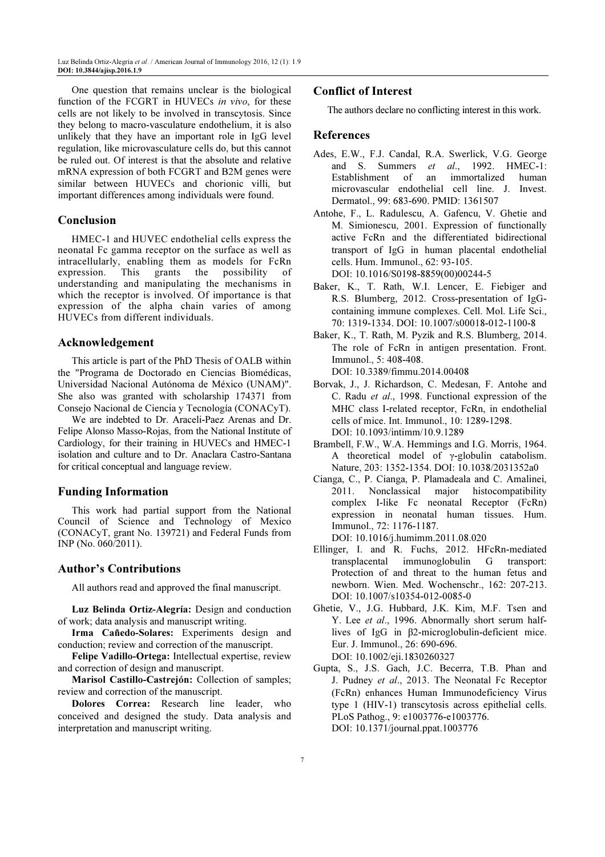Luz Belinda Ortiz-Alegría et al. / American Journal of Immunology 2016, 12 (1): 1.9 DOI: 10.3844/ajisp.2016.1.9

One question that remains unclear is the biological function of the FCGRT in HUVECs in vivo, for these cells are not likely to be involved in transcytosis. Since they belong to macro-vasculature endothelium, it is also unlikely that they have an important role in IgG level regulation, like microvasculature cells do, but this cannot be ruled out. Of interest is that the absolute and relative mRNA expression of both FCGRT and B2M genes were similar between HUVECs and chorionic villi, but important differences among individuals were found.

#### Conclusion

HMEC-1 and HUVEC endothelial cells express the neonatal Fc gamma receptor on the surface as well as intracellularly, enabling them as models for FcRn expression. This grants the possibility of understanding and manipulating the mechanisms in which the receptor is involved. Of importance is that expression of the alpha chain varies of among HUVECs from different individuals.

## Acknowledgement

This article is part of the PhD Thesis of OALB within the "Programa de Doctorado en Ciencias Biomédicas, Universidad Nacional Autónoma de México (UNAM)". She also was granted with scholarship 174371 from Consejo Nacional de Ciencia y Tecnología (CONACyT).

We are indebted to Dr. Araceli-Paez Arenas and Dr. Felipe Alonso Masso-Rojas, from the National Institute of Cardiology, for their training in HUVECs and HMEC-1 isolation and culture and to Dr. Anaclara Castro-Santana for critical conceptual and language review.

# Funding Information

This work had partial support from the National Council of Science and Technology of Mexico (CONACyT, grant No. 139721) and Federal Funds from INP (No. 060/2011).

## Author's Contributions

All authors read and approved the final manuscript.

Luz Belinda Ortiz-Alegría: Design and conduction of work; data analysis and manuscript writing.

Irma Cañedo-Solares: Experiments design and conduction; review and correction of the manuscript.

Felipe Vadillo-Ortega: Intellectual expertise, review and correction of design and manuscript.

Marisol Castillo-Castrejón: Collection of samples; review and correction of the manuscript.

Dolores Correa: Research line leader, who conceived and designed the study. Data analysis and interpretation and manuscript writing.

# Conflict of Interest

The authors declare no conflicting interest in this work.

#### References

- Ades, E.W., F.J. Candal, R.A. Swerlick, V.G. George and S. Summers et al., 1992. HMEC-1: Establishment of an immortalized human microvascular endothelial cell line. J. Invest. Dermatol., 99: 683-690. PMID: 1361507
- Antohe, F., L. Radulescu, A. Gafencu, V. Ghetie and M. Simionescu, 2001. Expression of functionally active FcRn and the differentiated bidirectional transport of IgG in human placental endothelial cells. Hum. Immunol., 62: 93-105. DOI: 10.1016/S0198-8859(00)00244-5
- Baker, K., T. Rath, W.I. Lencer, E. Fiebiger and R.S. Blumberg, 2012. Cross-presentation of IgGcontaining immune complexes. Cell. Mol. Life Sci., 70: 1319-1334. DOI: 10.1007/s00018-012-1100-8
- Baker, K., T. Rath, M. Pyzik and R.S. Blumberg, 2014. The role of FcRn in antigen presentation. Front. Immunol., 5: 408-408.
- DOI: 10.3389/fimmu.2014.00408 Borvak, J., J. Richardson, C. Medesan, F. Antohe and
- C. Radu et al., 1998. Functional expression of the MHC class I-related receptor, FcRn, in endothelial cells of mice. Int. Immunol., 10: 1289-1298. DOI: 10.1093/intimm/10.9.1289
- Brambell, F.W., W.A. Hemmings and I.G. Morris, 1964. A theoretical model of γ-globulin catabolism. Nature, 203: 1352-1354. DOI: 10.1038/2031352a0
- Cianga, C., P. Cianga, P. Plamadeala and C. Amalinei, 2011. Nonclassical major histocompatibility complex I-like Fc neonatal Receptor (FcRn) expression in neonatal human tissues. Hum. Immunol., 72: 1176-1187.
- DOI: 10.1016/j.humimm.2011.08.020 Ellinger, I. and R. Fuchs, 2012. HFcRn-mediated transplacental immunoglobulin G transport: Protection of and threat to the human fetus and newborn. Wien. Med. Wochenschr., 162: 207-213. DOI: 10.1007/s10354-012-0085-0
- Ghetie, V., J.G. Hubbard, J.K. Kim, M.F. Tsen and Y. Lee et al., 1996. Abnormally short serum halflives of IgG in β2-microglobulin-deficient mice. Eur. J. Immunol., 26: 690-696. DOI: 10.1002/eji.1830260327
- Gupta, S., J.S. Gach, J.C. Becerra, T.B. Phan and J. Pudney et al., 2013. The Neonatal Fc Receptor (FcRn) enhances Human Immunodeficiency Virus type 1 (HIV-1) transcytosis across epithelial cells. PLoS Pathog., 9: e1003776-e1003776. DOI: 10.1371/journal.ppat.1003776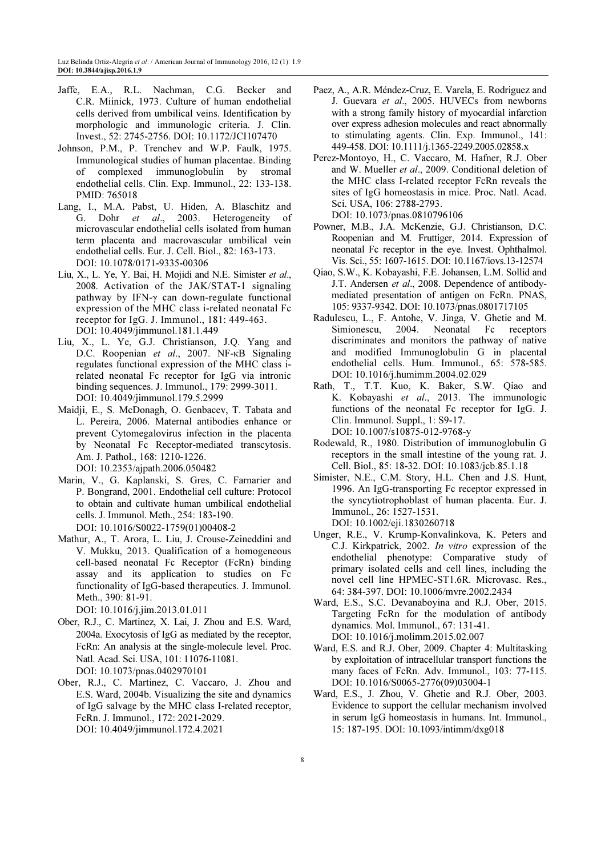- Jaffe, E.A., R.L. Nachman, C.G. Becker and C.R. Miinick, 1973. Culture of human endothelial cells derived from umbilical veins. Identification by morphologic and immunologic criteria. J. Clin. Invest., 52: 2745-2756. DOI: 10.1172/JCI107470
- Johnson, P.M., P. Trenchev and W.P. Faulk, 1975. Immunological studies of human placentae. Binding of complexed immunoglobulin by stromal endothelial cells. Clin. Exp. Immunol., 22: 133-138. PMID: 765018
- Lang, I., M.A. Pabst, U. Hiden, A. Blaschitz and G. Dohr et al., 2003. Heterogeneity of microvascular endothelial cells isolated from human term placenta and macrovascular umbilical vein endothelial cells. Eur. J. Cell. Biol., 82: 163-173. DOI: 10.1078/0171-9335-00306
- Liu, X., L. Ye, Y. Bai, H. Mojidi and N.E. Simister et al., 2008. Activation of the JAK/STAT-1 signaling pathway by IFN-γ can down-regulate functional expression of the MHC class i-related neonatal Fc receptor for IgG. J. Immunol., 181: 449-463. DOI: 10.4049/jimmunol.181.1.449
- Liu, X., L. Ye, G.J. Christianson, J.Q. Yang and D.C. Roopenian et al., 2007. NF-κB Signaling regulates functional expression of the MHC class irelated neonatal Fc receptor for IgG via intronic binding sequences. J. Immunol., 179: 2999-3011. DOI: 10.4049/jimmunol.179.5.2999
- Maidji, E., S. McDonagh, O. Genbacev, T. Tabata and L. Pereira, 2006. Maternal antibodies enhance or prevent Cytomegalovirus infection in the placenta by Neonatal Fc Receptor-mediated transcytosis. Am. J. Pathol., 168: 1210-1226. DOI: 10.2353/ajpath.2006.050482
- Marin, V., G. Kaplanski, S. Gres, C. Farnarier and P. Bongrand, 2001. Endothelial cell culture: Protocol to obtain and cultivate human umbilical endothelial cells. J. Immunol. Meth., 254: 183-190. DOI: 10.1016/S0022-1759(01)00408-2
- Mathur, A., T. Arora, L. Liu, J. Crouse-Zeineddini and V. Mukku, 2013. Qualification of a homogeneous cell-based neonatal Fc Receptor (FcRn) binding assay and its application to studies on Fc functionality of IgG-based therapeutics. J. Immunol. Meth., 390: 81-91.

DOI: 10.1016/j.jim.2013.01.011

- Ober, R.J., C. Martinez, X. Lai, J. Zhou and E.S. Ward, 2004a. Exocytosis of IgG as mediated by the receptor, FcRn: An analysis at the single-molecule level. Proc. Natl. Acad. Sci. USA, 101: 11076-11081. DOI: 10.1073/pnas.0402970101
- Ober, R.J., C. Martinez, C. Vaccaro, J. Zhou and E.S. Ward, 2004b. Visualizing the site and dynamics of IgG salvage by the MHC class I-related receptor, FcRn. J. Immunol., 172: 2021-2029. DOI: 10.4049/jimmunol.172.4.2021
- Paez, A., A.R. Méndez-Cruz, E. Varela, E. Rodriguez and J. Guevara et al., 2005. HUVECs from newborns with a strong family history of myocardial infarction over express adhesion molecules and react abnormally to stimulating agents. Clin. Exp. Immunol., 141: 449-458. DOI: 10.1111/j.1365-2249.2005.02858.x
- Perez-Montoyo, H., C. Vaccaro, M. Hafner, R.J. Ober and W. Mueller et al., 2009. Conditional deletion of the MHC class I-related receptor FcRn reveals the sites of IgG homeostasis in mice. Proc. Natl. Acad. Sci. USA, 106: 2788-2793. DOI: 10.1073/pnas.0810796106
- Powner, M.B., J.A. McKenzie, G.J. Christianson, D.C. Roopenian and M. Fruttiger, 2014. Expression of neonatal Fc receptor in the eye. Invest. Ophthalmol. Vis. Sci., 55: 1607-1615. DOI: 10.1167/iovs.13-12574
- Qiao, S.W., K. Kobayashi, F.E. Johansen, L.M. Sollid and J.T. Andersen et al., 2008. Dependence of antibodymediated presentation of antigen on FcRn. PNAS, 105: 9337-9342. DOI: 10.1073/pnas.0801717105
- Radulescu, L., F. Antohe, V. Jinga, V. Ghetie and M. Simionescu, 2004. Neonatal Fc receptors discriminates and monitors the pathway of native and modified Immunoglobulin G in placental endothelial cells. Hum. Immunol., 65: 578-585. DOI: 10.1016/j.humimm.2004.02.029
- Rath, T., T.T. Kuo, K. Baker, S.W. Qiao and K. Kobayashi et al., 2013. The immunologic functions of the neonatal Fc receptor for IgG. J. Clin. Immunol. Suppl., 1: S9-17. DOI: 10.1007/s10875-012-9768-y
- Rodewald, R., 1980. Distribution of immunoglobulin G receptors in the small intestine of the young rat. J. Cell. Biol., 85: 18-32. DOI: 10.1083/jcb.85.1.18
- Simister, N.E., C.M. Story, H.L. Chen and J.S. Hunt, 1996. An IgG-transporting Fc receptor expressed in the syncytiotrophoblast of human placenta. Eur. J. Immunol., 26: 1527-1531. DOI: 10.1002/eji.1830260718
- Unger, R.E., V. Krump-Konvalinkova, K. Peters and C.J. Kirkpatrick, 2002. In vitro expression of the endothelial phenotype: Comparative study of primary isolated cells and cell lines, including the novel cell line HPMEC-ST1.6R. Microvasc. Res., 64: 384-397. DOI: 10.1006/mvre.2002.2434
- Ward, E.S., S.C. Devanaboyina and R.J. Ober, 2015. Targeting FcRn for the modulation of antibody dynamics. Mol. Immunol., 67: 131-41. DOI: 10.1016/j.molimm.2015.02.007
- Ward, E.S. and R.J. Ober, 2009. Chapter 4: Multitasking by exploitation of intracellular transport functions the many faces of FcRn. Adv. Immunol., 103: 77-115. DOI: 10.1016/S0065-2776(09)03004-1
- Ward, E.S., J. Zhou, V. Ghetie and R.J. Ober, 2003. Evidence to support the cellular mechanism involved in serum IgG homeostasis in humans. Int. Immunol., 15: 187-195. DOI: 10.1093/intimm/dxg018